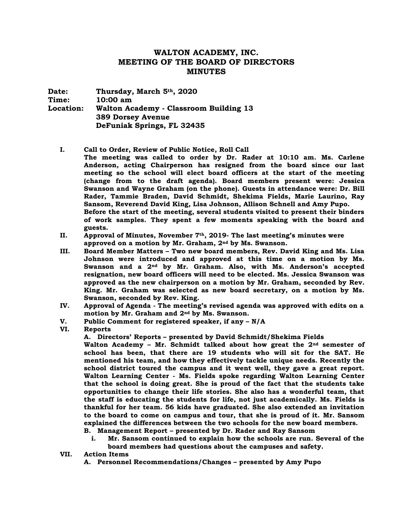## **WALTON ACADEMY, INC. MEETING OF THE BOARD OF DIRECTORS MINUTES**

**Date: Thursday, March 5th, 2020 Time: 10:00 am Location: Walton Academy - Classroom Building 13 389 Dorsey Avenue DeFuniak Springs, FL 32435**

**I. Call to Order, Review of Public Notice, Roll Call**

**The meeting was called to order by Dr. Rader at 10:10 am. Ms. Carlene Anderson, acting Chairperson has resigned from the board since our last meeting so the school will elect board officers at the start of the meeting (change from to the draft agenda). Board members present were: Jessica Swanson and Wayne Graham (on the phone). Guests in attendance were: Dr. Bill Rader, Tammie Braden, David Schmidt, Shekima Fields, Marie Laurino, Ray Sansom, Reverend David King, Lisa Johnson, Allison Schnell and Amy Pupo. Before the start of the meeting, several students visited to present their binders of work samples. They spent a few moments speaking with the board and guests.** 

- **II. Approval of Minutes, November 7th, 2019- The last meeting's minutes were approved on a motion by Mr. Graham, 2nd by Ms. Swanson.**
- **III. Board Member Matters – Two new board members, Rev. David King and Ms. Lisa Johnson were introduced and approved at this time on a motion by Ms. Swanson and a 2nd by Mr. Graham. Also, with Ms. Anderson's accepted resignation, new board officers will need to be elected. Ms. Jessica Swanson was approved as the new chairperson on a motion by Mr. Graham, seconded by Rev. King. Mr. Graham was selected as new board secretary, on a motion by Ms. Swanson, seconded by Rev. King.**
- **IV. Approval of Agenda - The meeting's revised agenda was approved with edits on a motion by Mr. Graham and 2nd by Ms. Swanson.**
- **V. Public Comment for registered speaker, if any – N/A**
- **VI. Reports**

**A. Directors' Reports – presented by David Schmidt/Shekima Fields**

**Walton Academy – Mr. Schmidt talked about how great the 2nd semester of school has been, that there are 19 students who will sit for the SAT. He mentioned his team, and how they effectively tackle unique needs. Recently the school district toured the campus and it went well, they gave a great report. Walton Learning Center - Ms. Fields spoke regarding Walton Learning Center that the school is doing great. She is proud of the fact that the students take opportunities to change their life stories. She also has a wonderful team, that the staff is educating the students for life, not just academically. Ms. Fields is thankful for her team. 56 kids have graduated. She also extended an invitation to the board to come on campus and tour, that she is proud of it. Mr. Sansom explained the differences between the two schools for the new board members.** 

**B. Management Report – presented by Dr. Rader and Ray Sansom**

- **i. Mr. Sansom continued to explain how the schools are run. Several of the board members had questions about the campuses and safety.**
- **VII. Action Items**
	- **A. Personnel Recommendations/Changes – presented by Amy Pupo**